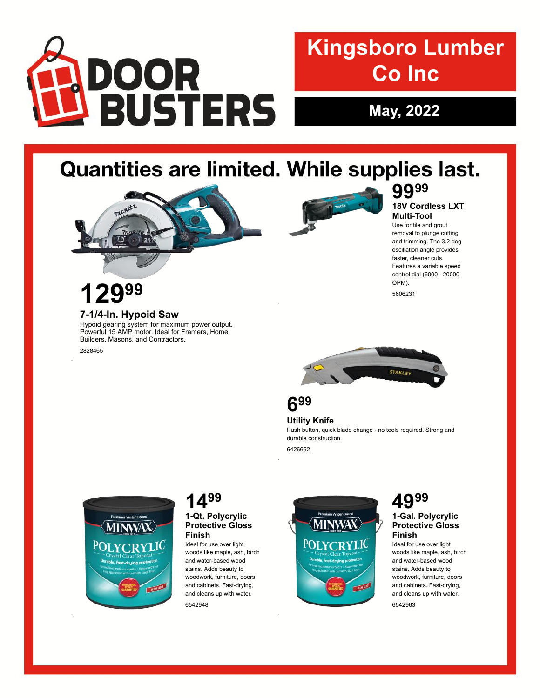

# **Kingsboro Lumber Co Inc**

**May, 2022**

# Quantities are limited. While supplies last.

.





#### **7-1/4-In. Hypoid Saw**

Hypoid gearing system for maximum power output. Powerful 15 AMP motor. Ideal for Framers, Home Builders, Masons, and Contractors.

2828465

.

.



## **99 99**

#### **18V Cordless LXT Multi-Tool**

Use for tile and grout removal to plunge cutting and trimming. The 3.2 deg oscillation angle provides faster, cleaner cuts. Features a variable speed control dial (6000 - 20000 OPM). 5606231





**Utility Knife** Push button, quick blade change - no tools required. Strong and durable construction.

6426662

.

.



### **14**

#### **1-Qt. Polycrylic Protective Gloss Finish**

Ideal for use over light woods like maple, ash, birch and water-based wood stains. Adds beauty to woodwork, furniture, doors and cabinets. Fast-drying, and cleans up with water.

6542948



# **1-Gal. Polycrylic**

#### **Protective Gloss Finish**

Ideal for use over light woods like maple, ash, birch and water-based wood stains. Adds beauty to woodwork, furniture, doors and cabinets. Fast-drying, and cleans up with water.

6542963